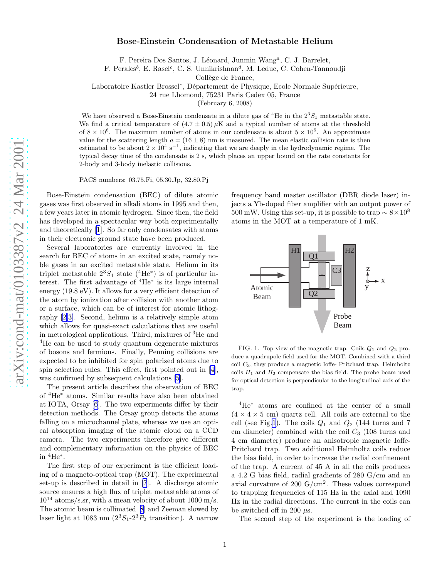## <span id="page-0-0"></span>Bose-Einstein Condensation of Metastable Helium

F. Pereira Dos Santos, J. Léonard, Junmin Wang<sup>a</sup>, C. J. Barrelet,

F. Perales<sup>b</sup>, E. Rasel<sup>c</sup>, C. S. Unnikrishnan<sup>d</sup>, M. Leduc, C. Cohen-Tannoudji

Collège de France.

Laboratoire Kastler Brossel\*, Département de Physique, Ecole Normale Supérieure,

24 rue Lhomond, 75231 Paris Cedex 05, France

(February 6, 2008)

We have observed a Bose-Einstein condensate in a dilute gas of <sup>4</sup>He in the  $2^3S_1$  metastable state. We find a critical temperature of  $(4.7 \pm 0.5) \mu$ K and a typical number of atoms at the threshold of  $8 \times 10^6$ . The maximum number of atoms in our condensate is about  $5 \times 10^5$ . An approximate value for the scattering length  $a = (16 \pm 8)$  nm is measured. The mean elastic collision rate is then estimated to be about  $2 \times 10^4$  s<sup>-1</sup>, indicating that we are deeply in the hydrodynamic regime. The typical decay time of the condensate is 2 s, which places an upper bound on the rate constants for 2-body and 3-body inelastic collisions.

PACS numbers: 03.75.Fi, 05.30.Jp, 32.80.Pj

Bose-Einstein condensation (BEC) of dilute atomic gases was first observed in alkali atoms in 1995 and then, a few years later in atomic hydrogen. Since then, the field has developed in a spectacular way both experimentally and theoretically [\[1](#page-3-0)]. So far only condensates with atoms in their electronic ground state have been produced.

Several laboratories are currently involved in the search for BEC of atoms in an excited state, namely noble gases in an excited metastable state. Helium in its triplet metastable  $2^3S_1$  state  $(^4\text{He}^*)$  is of particular interest. The first advantage of  $4He^*$  is its large internal energy (19.8 eV). It allows for a very efficient detection of the atom by ionization after collision with another atom or a surface, which can be of interest for atomic lithography[[2,3\]](#page-3-0). Second, helium is a relatively simple atom which allows for quasi-exact calculations that are useful in metrological applications. Third, mixtures of <sup>3</sup>He and <sup>4</sup>He can be used to study quantum degenerate mixtures of bosons and fermions. Finally, Penning collisions are expected to be inhibited for spin polarized atoms due to spin selection rules. This effect, first pointed out in[[4\]](#page-3-0), was confirmed by subsequent calculations [\[5](#page-3-0)].

The present article describes the observation of BEC of <sup>4</sup>He <sup>∗</sup> atoms. Similar results have also been obtained at IOTA, Orsay [\[6](#page-3-0)]. The two experiments differ by their detection methods. The Orsay group detects the atoms falling on a microchannel plate, whereas we use an optical absorption imaging of the atomic cloud on a CCD camera. The two experiments therefore give different and complementary information on the physics of BEC in  ${}^4\text{He}^*$ .

The first step of our experiment is the efficient loading of a magneto-optical trap (MOT). The experimental set-up is described in detail in [\[7](#page-3-0)]. A discharge atomic source ensures a high flux of triplet metastable atoms of  $10^{14}$  atoms/s.sr, with a mean velocity of about 1000 m/s. The atomic beam is collimated[[8\]](#page-3-0) and Zeeman slowed by laser light at 1083 nm  $(2^3S_1-2^3P_2)$  transition). A narrow

frequency band master oscillator (DBR diode laser) injects a Yb-doped fiber amplifier with an output power of 500 mW. Using this set-up, it is possible to trap  $\sim 8 \times 10^8$ atoms in the MOT at a temperature of 1 mK.



FIG. 1. Top view of the magnetic trap. Coils  $Q_1$  and  $Q_2$  produce a quadrupole field used for the MOT. Combined with a third coil C 3, they produce a magnetic Ioffe- Pritchard trap. Helmholtz coils  $H_1$  and  $H_2$  compensate the bias field. The probe beam used for optical detection is perpendicular to the longitudinal axis of the trap.

<sup>4</sup>He <sup>∗</sup> atoms are confined at the center of a small  $(4 \times 4 \times 5$  cm) quartz cell. All coils are external to the cell (see Fig.1). The coils  $Q_1$  and  $Q_2$  (144 turns and 7 cm diameter) combined with the coil  $C_3$  (108 turns and 4 cm diameter) produce an anisotropic magnetic Ioffe-Pritchard trap. Two additional Helmholtz coils reduce the bias field, in order to increase the radial confinement of the trap. A current of 45 A in all the coils produces a 4.2 G bias field, radial gradients of 280 G/cm and an axial curvature of 200  $G/cm^2$ . These values correspond to trapping frequencies of 115 Hz in the axial and 1090 Hz in the radial directions. The current in the coils can be switched off in 200  $\mu$ s.

The second step of the experiment is the loading of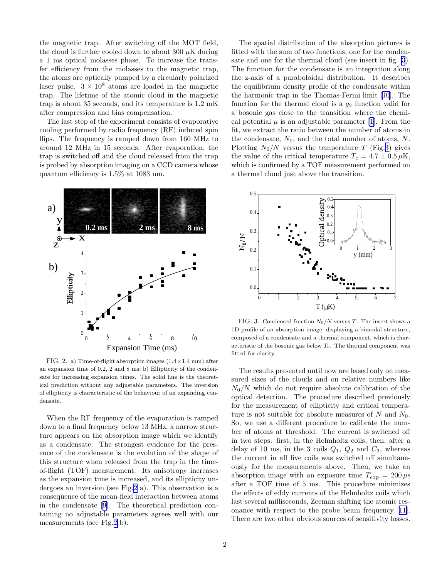the magnetic trap. After switching off the MOT field, the cloud is further cooled down to about 300  $\mu$ K during a 1 ms optical molasses phase. To increase the transfer efficiency from the molasses to the magnetic trap, the atoms are optically pumped by a circularly polarized laser pulse.  $3 \times 10^8$  atoms are loaded in the magnetic trap. The lifetime of the atomic cloud in the magnetic trap is about 35 seconds, and its temperature is 1.2 mK after compression and bias compensation.

The last step of the experiment consists of evaporative cooling performed by radio frequency (RF) induced spin flips. The frequency is ramped down from 160 MHz to around 12 MHz in 15 seconds. After evaporation, the trap is switched off and the cloud released from the trap is probed by absorption imaging on a CCD camera whose quantum efficiency is 1.5% at 1083 nm.



FIG. 2. a) Time-of-flight absorption images (1.4×1.4 mm) after an expansion time of 0.2, 2 and 8 ms; b) Ellipticity of the condensate for increasing expansion times. The solid line is the theoretical prediction without any adjustable parameters. The inversion of ellipticity is characteristic of the behaviour of an expanding condensate.

When the RF frequency of the evaporation is ramped down to a final frequency below 13 MHz, a narrow structure appears on the absorption image which we identify as a condensate. The strongest evidence for the presence of the condensate is the evolution of the shape of this structure when released from the trap in the timeof-flight (TOF) measurement. Its anisotropy increases as the expansion time is increased, and its ellipticity undergoes an inversion (see Fig.2 a). This observation is a consequence of the mean-field interaction between atoms in the condensate[[9\]](#page-3-0). The theoretical prediction containing no adjustable parameters agrees well with our measurements (see Fig.2 b).

The spatial distribution of the absorption pictures is fitted with the sum of two functions, one for the condensate and one for the thermal cloud (see insert in fig. 3). The function for the condensate is an integration along the z-axis of a paraboloidal distribution. It describes the equilibrium density profile of the condensate within the harmonic trap in the Thomas-Fermi limit[[10](#page-3-0)]. The function for the thermal cloud is a  $g_2$  function valid for a bosonic gas close to the transition where the chemicalpotential  $\mu$  is an adjustable parameter [[1\]](#page-3-0). From the fit, we extract the ratio between the number of atoms in the condensate,  $N_0$ , and the total number of atoms, N. Plotting  $N_0/N$  versus the temperature T (Fig.3) gives the value of the critical temperature  $T_c = 4.7 \pm 0.5 \,\mu\text{K}$ , which is confirmed by a TOF measurement performed on a thermal cloud just above the transition.



FIG. 3. Condensed fraction  $N_0/N$  versus T. The insert shows a 1D profile of an absorption image, displaying a bimodal structure, composed of a condensate and a thermal component, which is characteristic of the bosonic gas below  $T_c$ . The thermal component was fitted for clarity.

The results presented until now are based only on measured sizes of the clouds and on relative numbers like  $N_0/N$  which do not require absolute calibration of the optical detection. The procedure described previously for the measurement of ellipticity and critical temperature is not suitable for absolute measures of N and  $N_0$ . So, we use a different procedure to calibrate the number of atoms at threshold. The current is switched off in two steps: first, in the Helmholtz coils, then, after a delay of 10 ms, in the 3 coils  $Q_1$ ,  $Q_2$  and  $C_3$ , whereas the current in all five coils was switched off simultaneously for the measurements above. Then, we take an absorption image with an exposure time  $T_{exp} = 200 \,\mu s$ after a TOF time of 5 ms. This procedure minimizes the effects of eddy currents of the Helmholtz coils which last several milliseconds, Zeeman shifting the atomic resonance with respect to the probe beam frequency[[11\]](#page-3-0). There are two other obvious sources of sensitivity losses.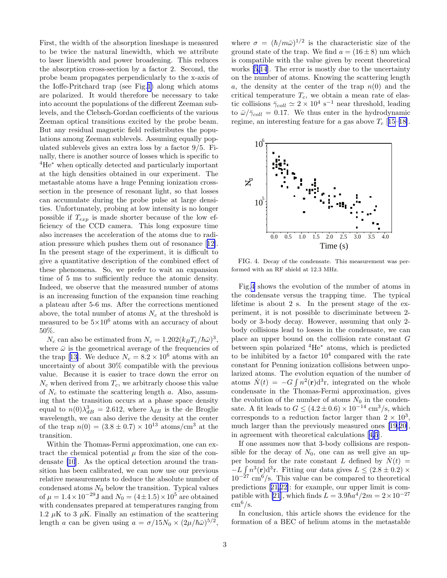First, the width of the absorption lineshape is measured to be twice the natural linewidth, which we attribute to laser linewidth and power broadening. This reduces the absorption cross-section by a factor 2. Second, the probe beam propagates perpendicularly to the x-axis of the Ioffe-Pritchard trap (see Fig.[1\)](#page-0-0) along which atoms are polarized. It would therefore be necessary to take into account the populations of the different Zeeman sublevels, and the Clebsch-Gordan coefficients of the various Zeeman optical transitions excited by the probe beam. But any residual magnetic field redistributes the populations among Zeeman sublevels. Assuming equally populated sublevels gives an extra loss by a factor 9/5. Finally, there is another source of losses which is specific to <sup>4</sup>He<sup>∗</sup> when optically detected and particularly important at the high densities obtained in our experiment. The metastable atoms have a huge Penning ionization crosssection in the presence of resonant light, so that losses can accumulate during the probe pulse at large densities. Unfortunately, probing at low intensity is no longer possible if  $T_{exp}$  is made shorter because of the low efficiency of the CCD camera. This long exposure time also increases the acceleration of the atoms due to radiation pressure which pushes them out of resonance[[12\]](#page-3-0). In the present stage of the experiment, it is difficult to give a quantitative description of the combined effect of these phenomena. So, we prefer to wait an expansion time of 5 ms to sufficiently reduce the atomic density. Indeed, we observe that the measured number of atoms is an increasing function of the expansion time reaching a plateau after 5-6 ms. After the corrections mentioned above, the total number of atoms  $N_c$  at the threshold is measured to be  $5\times10^6$  atoms with an accuracy of about 50%.

 $N_c$  can also be estimated from  $N_c = 1.202 (k_B T_c/\hbar \bar{\omega})^3$ , where  $\bar{\omega}$  is the geometrical average of the frequencies of thetrap [[13\]](#page-3-0). We deduce  $N_c = 8.2 \times 10^6$  atoms with an uncertainty of about 30% compatible with the previous value. Because it is easier to trace down the error on  $N_c$  when derived from  $T_c$ , we arbitrarly choose this value of  $N_c$  to estimate the scattering length a. Also, assuming that the transition occurs at a phase space density equal to  $n(0)\lambda_{dB}^3 = 2.612$ , where  $\lambda_{dB}$  is the de Broglie wavelength, we can also derive the density at the center of the trap  $n(0) = (3.8 \pm 0.7) \times 10^{13}$  atoms/cm<sup>3</sup> at the transition.

Within the Thomas-Fermi approximation, one can extract the chemical potential  $\mu$  from the size of the condensate [\[10](#page-3-0)]. As the optical detection around the transition has been calibrated, we can now use our previous relative measurements to deduce the absolute number of condensed atoms  $N_0$  below the transition. Typical values of  $\mu = 1.4 \times 10^{-29}$  J and  $N_0 = (4 \pm 1.5) \times 10^5$  are obtained with condensates prepared at temperatures ranging from 1.2  $\mu$ K to 3  $\mu$ K. Finally an estimation of the scattering length a can be given using  $a = \sigma/15N_0 \times (2\mu/\hbar\bar{\omega})^{5/2}$ ,

where  $\sigma = (\hbar/m\bar{\omega})^{1/2}$  is the characteristic size of the ground state of the trap. We find  $a = (16 \pm 8)$  nm which is compatible with the value given by recent theoretical works [\[5,14](#page-3-0)]. The error is mostly due to the uncertainty on the number of atoms. Knowing the scattering length a, the density at the center of the trap  $n(0)$  and the critical temperature  $T_c$ , we obtain a mean rate of elastic collisions  $\bar{\gamma}_{coll} \simeq 2 \times 10^4 \text{ s}^{-1}$  near threshold, leading to  $\bar{\omega}/\bar{\gamma}_{coll} = 0.17$ . We thus enter in the hydrodynamic regime, an interesting feature for a gas above  $T_c$  [[15–18\]](#page-3-0).



FIG. 4. Decay of the condensate. This measurement was performed with an RF shield at 12.3 MHz.

Fig.4 shows the evolution of the number of atoms in the condensate versus the trapping time. The typical lifetime is about 2 s. In the present stage of the experiment, it is not possible to discriminate between 2 body or 3-body decay. However, assuming that only 2 body collisions lead to losses in the condensate, we can place an upper bound on the collision rate constant G between spin polarized  ${}^{4}He^*$  atoms, which is predicted to be inhibited by a factor  $10^4$  compared with the rate constant for Penning ionization collisions between unpolarized atoms. The evolution equation of the number of atoms  $\dot{N}(t) = -G \int n^2(\mathbf{r}) d^3\mathbf{r}$ , integrated on the whole condensate in the Thomas-Fermi approximation, gives the evolution of the number of atoms  $N_0$  in the condensate. A fit leads to  $G \leq (4.2 \pm 0.6) \times 10^{-14}$  cm<sup>3</sup>/s, which corresponds to a reduction factor larger than  $2 \times 10^3$ , much larger than the previously measured ones[[19,20\]](#page-3-0), in agreement with theoretical calculations[[4,5](#page-3-0)].

If one assumes now that 3-body collisions are responsible for the decay of  $N_0$ , one can as well give an upper bound for the rate constant L defined by  $\dot{N}(t)$  =  $-L \int n^3(\mathbf{r})d^3\mathbf{r}$ . Fitting our data gives  $L \leq (2.8 \pm 0.2) \times$  $10^{-27}$  cm<sup>6</sup>/s. This value can be compared to theoretical predictions[[21,22\]](#page-3-0): for example, our upper limit is com-patible with [\[21](#page-3-0)], which finds  $L = 3.9\hbar a^4/2m = 2 \times 10^{-27}$  $\text{cm}^6/\text{s}$ .

In conclusion, this article shows the evidence for the formation of a BEC of helium atoms in the metastable